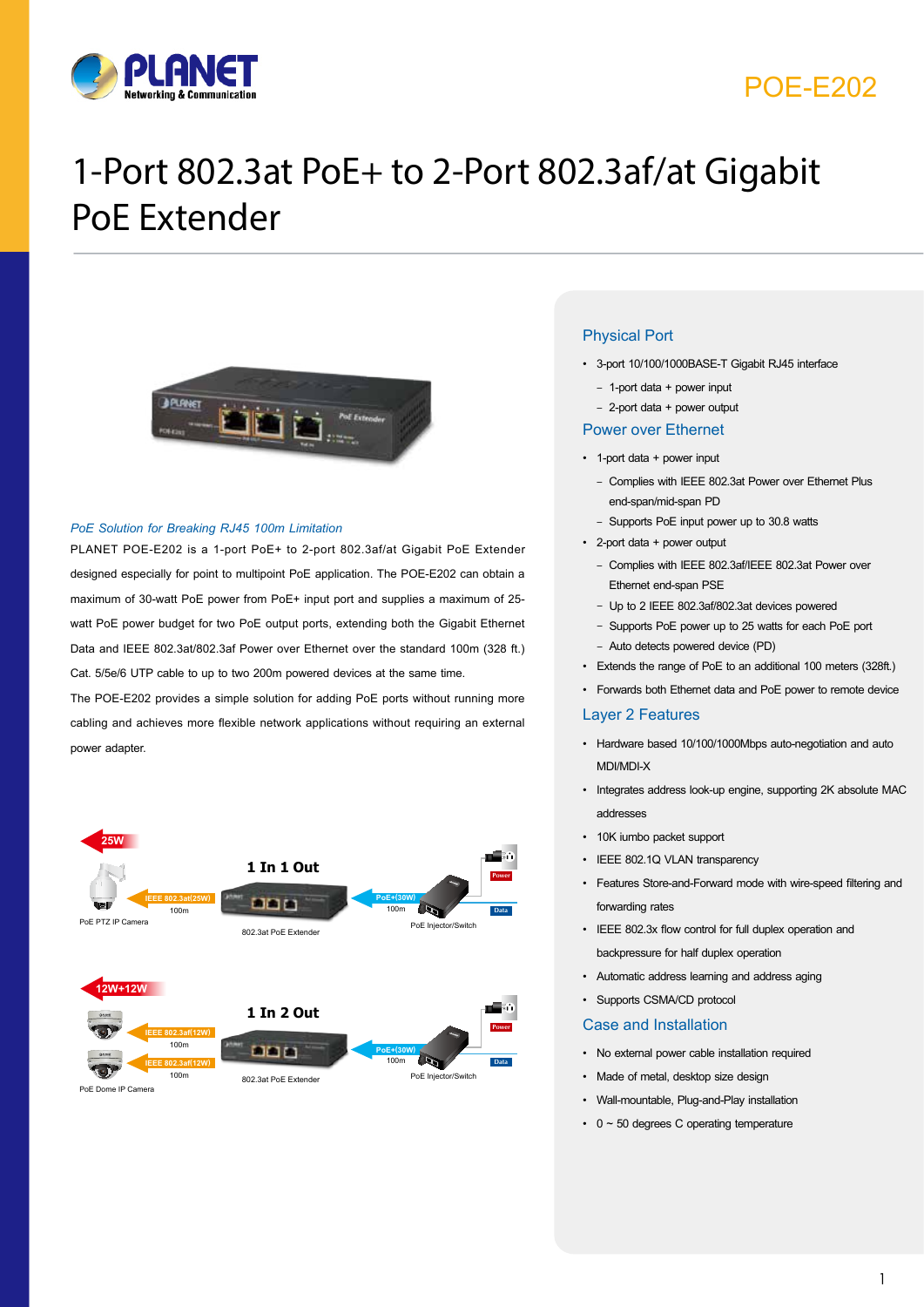

## POE-E202

# 1-Port 802.3at PoE+ to 2-Port 802.3af/at Gigabit PoE Extender



#### *PoE Solution for Breaking RJ45 100m Limitation*

PLANET POE-E202 is a 1-port PoE+ to 2-port 802.3af/at Gigabit PoE Extender designed especially for point to multipoint PoE application. The POE-E202 can obtain a maximum of 30-watt PoE power from PoE+ input port and supplies a maximum of 25 watt PoE power budget for two PoE output ports, extending both the Gigabit Ethernet Data and IEEE 802.3at/802.3af Power over Ethernet over the standard 100m (328 ft.) Cat. 5/5e/6 UTP cable to up to two 200m powered devices at the same time.

The POE-E202 provides a simple solution for adding PoE ports without running more cabling and achieves more flexible network applications without requiring an external power adapter.



PoE Dome IP Camera

#### Physical Port

- • 3-port 10/100/1000BASE-T Gigabit RJ45 interface
	- 1-port data + power input

#### – 2-port data + power output

#### Power over Ethernet

- • 1-port data + power input
	- Complies with IEEE 802.3at Power over Ethernet Plus end-span/mid-span PD
	- Supports PoE input power up to 30.8 watts
- • 2-port data + power output
	- Complies with IEEE 802.3af/IEEE 802.3at Power over Ethernet end-span PSE
	- Up to 2 IEEE 802.3af/802.3at devices powered
	- Supports PoE power up to 25 watts for each PoE port
	- Auto detects powered device (PD)
- • Extends the range of PoE to an additional 100 meters (328ft.)
- • Forwards both Ethernet data and PoE power to remote device

#### Layer 2 Features

- • Hardware based 10/100/1000Mbps auto-negotiation and auto MDI/MDI-X
- • Integrates address look-up engine, supporting 2K absolute MAC addresses
- 10K iumbo packet support
- IEEE 802.1Q VLAN transparency
- • Features Store-and-Forward mode with wire-speed filtering and forwarding rates
- • IEEE 802.3x flow control for full duplex operation and backpressure for half duplex operation
- • Automatic address learning and address aging
- • Supports CSMA/CD protocol

#### Case and Installation

- • No external power cable installation required
- Made of metal, desktop size design
- • Wall-mountable, Plug-and-Play installation
- $0 \sim 50$  degrees C operating temperature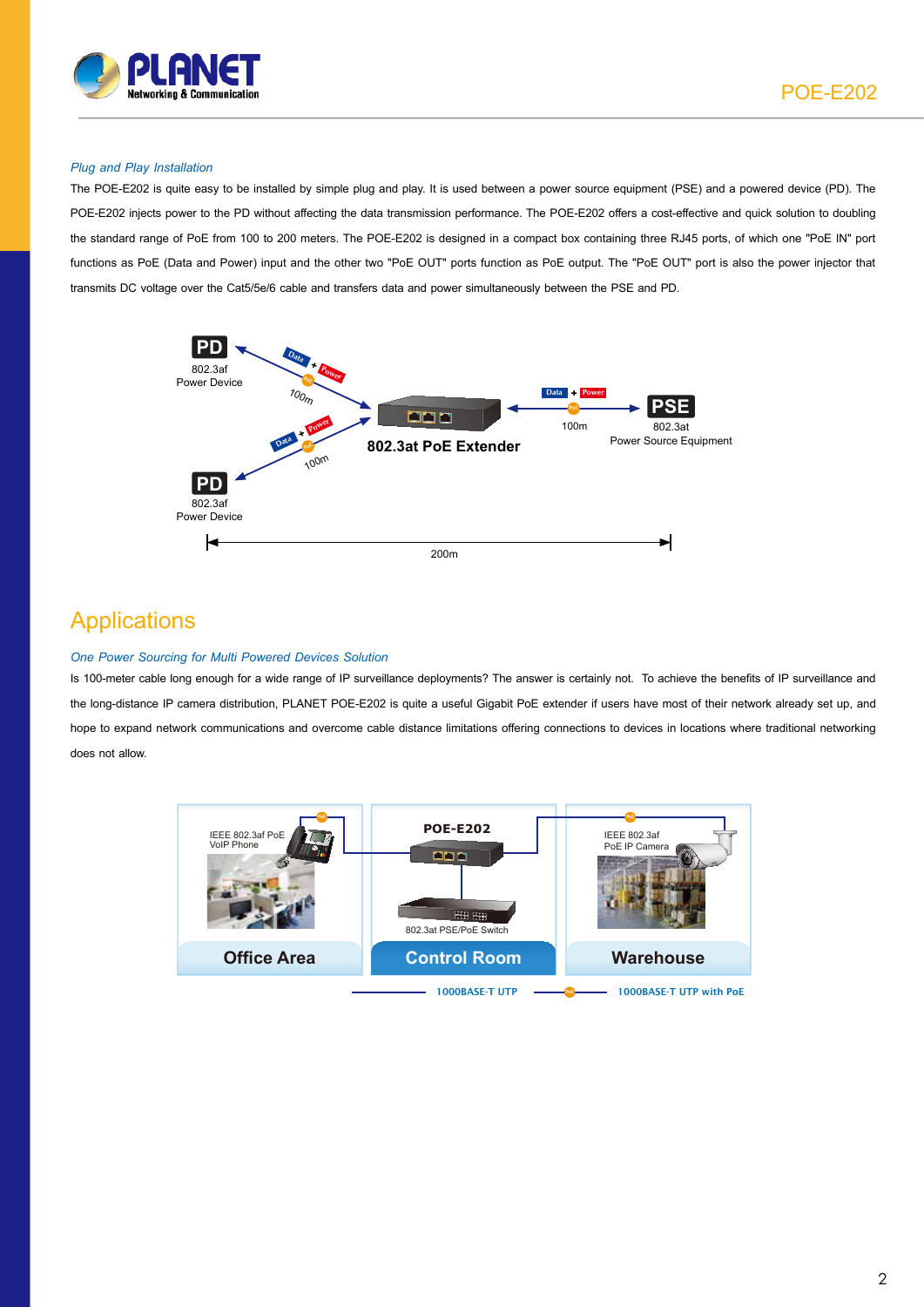

POE-E202

#### *Plug and Play Installation*

The POE-E202 is quite easy to be installed by simple plug and play. It is used between a power source equipment (PSE) and a powered device (PD). The POE-E202 injects power to the PD without affecting the data transmission performance. The POE-E202 offers a cost-effective and quick solution to doubling the standard range of PoE from 100 to 200 meters. The POE-E202 is designed in a compact box containing three RJ45 ports, of which one "PoE IN" port functions as PoE (Data and Power) input and the other two "PoE OUT" ports function as PoE output. The "PoE OUT" port is also the power injector that transmits DC voltage over the Cat5/5e/6 cable and transfers data and power simultaneously between the PSE and PD.



### **Applications**

#### *One Power Sourcing for Multi Powered Devices Solution*

Is 100-meter cable long enough for a wide range of IP surveillance deployments? The answer is certainly not. To achieve the benefits of IP surveillance and the long-distance IP camera distribution, PLANET POE-E202 is quite a useful Gigabit PoE extender if users have most of their network already set up, and hope to expand network communications and overcome cable distance limitations offering connections to devices in locations where traditional networking does not allow.

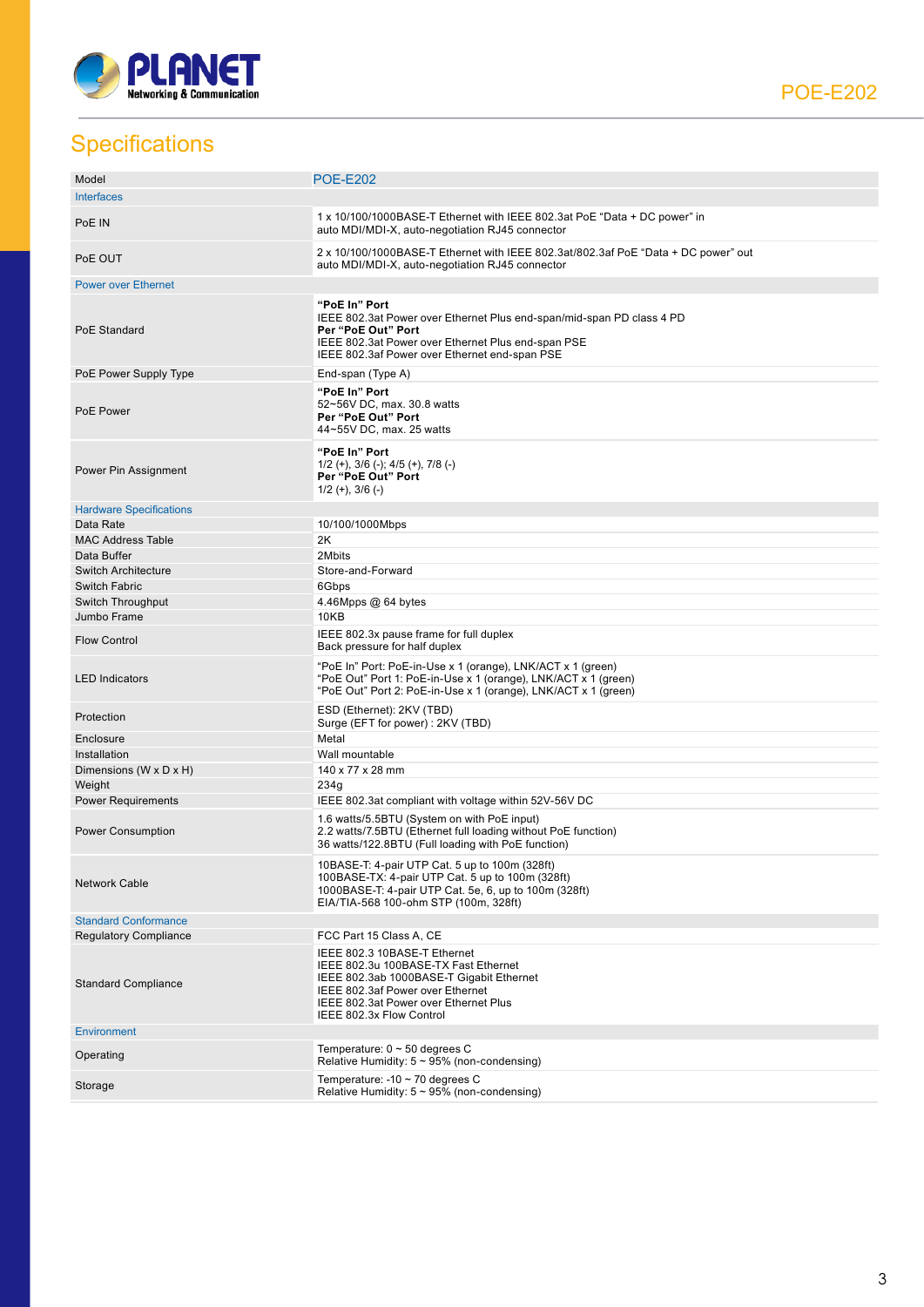

**Specifications** 

| Model                          | <b>POE-E202</b>                                                                                                                                                                                                           |
|--------------------------------|---------------------------------------------------------------------------------------------------------------------------------------------------------------------------------------------------------------------------|
| <b>Interfaces</b>              |                                                                                                                                                                                                                           |
| PoE IN                         | 1 x 10/100/1000BASE-T Ethernet with IEEE 802.3at PoE "Data + DC power" in<br>auto MDI/MDI-X, auto-negotiation RJ45 connector                                                                                              |
| PoE OUT                        | 2 x 10/100/1000BASE-T Ethernet with IEEE 802.3at/802.3af PoE "Data + DC power" out<br>auto MDI/MDI-X, auto-negotiation RJ45 connector                                                                                     |
| <b>Power over Ethernet</b>     |                                                                                                                                                                                                                           |
| PoE Standard                   | "PoE In" Port<br>IEEE 802.3at Power over Ethernet Plus end-span/mid-span PD class 4 PD<br>Per "PoE Out" Port<br>IEEE 802.3at Power over Ethernet Plus end-span PSE<br>IEEE 802.3af Power over Ethernet end-span PSE       |
| PoE Power Supply Type          | End-span (Type A)                                                                                                                                                                                                         |
| PoE Power                      | "PoE In" Port<br>52~56V DC, max. 30.8 watts<br>Per "PoE Out" Port<br>44~55V DC, max. 25 watts                                                                                                                             |
| Power Pin Assignment           | "PoE In" Port<br>$1/2$ (+), $3/6$ (-); $4/5$ (+), $7/8$ (-)<br>Per "PoE Out" Port<br>$1/2$ (+), $3/6$ (-)                                                                                                                 |
| <b>Hardware Specifications</b> |                                                                                                                                                                                                                           |
| Data Rate                      | 10/100/1000Mbps                                                                                                                                                                                                           |
| <b>MAC Address Table</b>       | 2K                                                                                                                                                                                                                        |
| Data Buffer                    | 2Mbits                                                                                                                                                                                                                    |
| <b>Switch Architecture</b>     | Store-and-Forward                                                                                                                                                                                                         |
| <b>Switch Fabric</b>           | 6Gbps                                                                                                                                                                                                                     |
| Switch Throughput              | 4.46Mpps @ 64 bytes                                                                                                                                                                                                       |
| Jumbo Frame                    | 10KB                                                                                                                                                                                                                      |
| <b>Flow Control</b>            | IEEE 802.3x pause frame for full duplex<br>Back pressure for half duplex                                                                                                                                                  |
| <b>LED Indicators</b>          | "PoE In" Port: PoE-in-Use x 1 (orange), LNK/ACT x 1 (green)<br>"PoE Out" Port 1: PoE-in-Use x 1 (orange), LNK/ACT x 1 (green)<br>"PoE Out" Port 2: PoE-in-Use x 1 (orange), LNK/ACT x 1 (green)                           |
| Protection                     | ESD (Ethernet): 2KV (TBD)<br>Surge (EFT for power): 2KV (TBD)                                                                                                                                                             |
| Enclosure                      | Metal                                                                                                                                                                                                                     |
| Installation                   | Wall mountable                                                                                                                                                                                                            |
| Dimensions (W x D x H)         | 140 x 77 x 28 mm                                                                                                                                                                                                          |
| Weight                         | 234q                                                                                                                                                                                                                      |
| <b>Power Requirements</b>      | IEEE 802.3at compliant with voltage within 52V-56V DC                                                                                                                                                                     |
| Power Consumption              | 1.6 watts/5.5BTU (System on with PoE input)<br>2.2 watts/7.5BTU (Ethernet full loading without PoE function)<br>36 watts/122.8BTU (Full loading with PoE function)                                                        |
| <b>Network Cable</b>           | 10BASE-T: 4-pair UTP Cat. 5 up to 100m (328ft)<br>100BASE-TX: 4-pair UTP Cat. 5 up to 100m (328ft)<br>1000BASE-T: 4-pair UTP Cat. 5e, 6, up to 100m (328ft)<br>EIA/TIA-568 100-ohm STP (100m, 328ft)                      |
| <b>Standard Conformance</b>    |                                                                                                                                                                                                                           |
| <b>Regulatory Compliance</b>   | FCC Part 15 Class A, CE                                                                                                                                                                                                   |
| <b>Standard Compliance</b>     | IEEE 802.3 10BASE-T Ethernet<br>IEEE 802.3u 100BASE-TX Fast Ethernet<br>IEEE 802.3ab 1000BASE-T Gigabit Ethernet<br>IEEE 802.3af Power over Ethernet<br>IEEE 802.3at Power over Ethernet Plus<br>IEEE 802.3x Flow Control |
| Environment                    |                                                                                                                                                                                                                           |
| Operating                      | Temperature: $0 \sim 50$ degrees C<br>Relative Humidity: $5 \sim 95\%$ (non-condensing)                                                                                                                                   |
| Storage                        | Temperature: -10 $\sim$ 70 degrees C<br>Relative Humidity: $5 \sim 95\%$ (non-condensing)                                                                                                                                 |